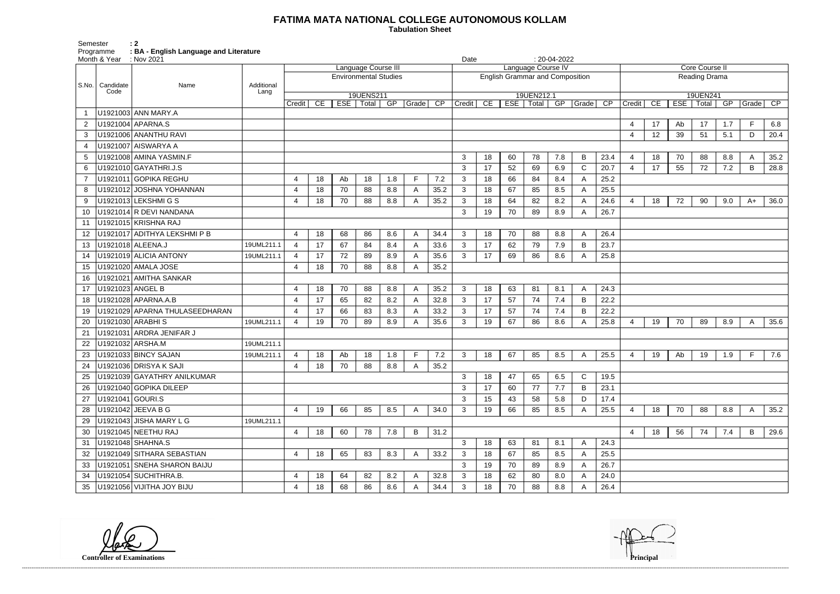## **FATIMA MATA NATIONAL COLLEGE AUTONOMOUS KOLLAM**

 **Tabulation Sheet** 

Semester<br>Programme Programme **: BA - English Language and Literature**

| Core Course II |                        |            |                          |     |       |                 |  |  |  |  |  |  |  |
|----------------|------------------------|------------|--------------------------|-----|-------|-----------------|--|--|--|--|--|--|--|
|                | Reading Drama          |            |                          |     |       |                 |  |  |  |  |  |  |  |
| Credit         | $\overline{\text{CE}}$ | <b>ESE</b> | 19UEN241<br><b>Total</b> | GP  | Grade | $\overline{CP}$ |  |  |  |  |  |  |  |
|                |                        |            |                          |     |       |                 |  |  |  |  |  |  |  |
| 4              | 17                     | Ab         | 17                       | 1.7 | F     | 6.8             |  |  |  |  |  |  |  |
| 4              | 12                     | 39         | 51                       | 5.1 | D     | 20.4            |  |  |  |  |  |  |  |
|                |                        |            |                          |     |       |                 |  |  |  |  |  |  |  |
| 4              | 18                     | 70         | 88                       | 8.8 | А     | 35.2            |  |  |  |  |  |  |  |
| 4              | 17                     | 55         | 72                       | 7.2 | В     | 28.8            |  |  |  |  |  |  |  |
|                |                        |            |                          |     |       |                 |  |  |  |  |  |  |  |
|                |                        |            |                          |     |       |                 |  |  |  |  |  |  |  |
| 4              | 18                     | 72         | 90                       | 9.0 | $A+$  | 36.0            |  |  |  |  |  |  |  |
|                |                        |            |                          |     |       |                 |  |  |  |  |  |  |  |
|                |                        |            |                          |     |       |                 |  |  |  |  |  |  |  |
|                |                        |            |                          |     |       |                 |  |  |  |  |  |  |  |
|                |                        |            |                          |     |       |                 |  |  |  |  |  |  |  |
|                |                        |            |                          |     |       |                 |  |  |  |  |  |  |  |
|                |                        |            |                          |     |       |                 |  |  |  |  |  |  |  |
|                |                        |            |                          |     |       |                 |  |  |  |  |  |  |  |
|                |                        |            |                          |     |       |                 |  |  |  |  |  |  |  |
|                |                        |            |                          |     |       |                 |  |  |  |  |  |  |  |
| 4              | 19                     | 70         | 89                       | 8.9 | A     | 35.6            |  |  |  |  |  |  |  |
|                |                        |            |                          |     |       |                 |  |  |  |  |  |  |  |
|                |                        |            |                          |     |       |                 |  |  |  |  |  |  |  |
| 4              | 19                     | Ab         | 19                       | 1.9 | F     | 7.6             |  |  |  |  |  |  |  |
|                |                        |            |                          |     |       |                 |  |  |  |  |  |  |  |
|                |                        |            |                          |     |       |                 |  |  |  |  |  |  |  |
|                |                        |            |                          |     |       |                 |  |  |  |  |  |  |  |
| 4              | 18                     | 70         |                          | 8.8 | A     | 35.2            |  |  |  |  |  |  |  |
|                |                        |            | 88                       |     |       |                 |  |  |  |  |  |  |  |
| 4              | 18                     | 56         | 74                       | 7.4 | B     | 29.6            |  |  |  |  |  |  |  |
|                |                        |            |                          |     |       |                 |  |  |  |  |  |  |  |
|                |                        |            |                          |     |       |                 |  |  |  |  |  |  |  |
|                |                        |            |                          |     |       |                 |  |  |  |  |  |  |  |
|                |                        |            |                          |     |       |                 |  |  |  |  |  |  |  |
|                |                        |            |                          |     |       |                 |  |  |  |  |  |  |  |

| Month & Year : Nov 2021 |                 |                                |            |                  |    |    |                     |                              |                   | $: 20-04-2022$<br>Date<br>Language Course IV |        |    |                                        |             |     |              |                 |                |    |    |             |     |              |      |  |  |
|-------------------------|-----------------|--------------------------------|------------|------------------|----|----|---------------------|------------------------------|-------------------|----------------------------------------------|--------|----|----------------------------------------|-------------|-----|--------------|-----------------|----------------|----|----|-------------|-----|--------------|------|--|--|
|                         |                 |                                |            |                  |    |    | Language Course III |                              |                   |                                              |        |    |                                        |             |     |              |                 | Core Course II |    |    |             |     |              |      |  |  |
| S.No.                   | Candidate       | Name                           | Additional |                  |    |    |                     | <b>Environmental Studies</b> |                   |                                              |        |    | <b>English Grammar and Composition</b> |             |     |              |                 | Reading Drama  |    |    |             |     |              |      |  |  |
|                         | Code            |                                | Lang       |                  |    |    | 19UENS211           |                              |                   |                                              |        |    |                                        | 19UEN212.1  |     |              |                 |                |    |    | 19UEN241    |     |              |      |  |  |
|                         |                 |                                |            | Credit           | CE |    | ESE   Total         | GP                           | $\sqrt{Grade}$ CP |                                              | Credit | CE |                                        | ESE   Total | GP  | Grade        | $\overline{CP}$ | Credit         | CE |    | ESE   Total | GP  | Grade CP     |      |  |  |
|                         |                 | U1921003 ANN MARY.A            |            |                  |    |    |                     |                              |                   |                                              |        |    |                                        |             |     |              |                 |                |    |    |             |     |              |      |  |  |
|                         |                 | U1921004 APARNA.S              |            |                  |    |    |                     |                              |                   |                                              |        |    |                                        |             |     |              |                 |                | 17 | Ab | 17          | 1.7 | E            | 6.8  |  |  |
| 3                       |                 | U1921006 ANANTHU RAVI          |            |                  |    |    |                     |                              |                   |                                              |        |    |                                        |             |     |              |                 | 4              | 12 | 39 | 51          | 5.1 | D            | 20.4 |  |  |
|                         |                 | U1921007 AISWARYA A            |            |                  |    |    |                     |                              |                   |                                              |        |    |                                        |             |     |              |                 |                |    |    |             |     |              |      |  |  |
| 5                       |                 | U1921008 AMINA YASMIN.F        |            |                  |    |    |                     |                              |                   |                                              | 3      | 18 | 60                                     | 78          | 7.8 | B            | 23.4            |                | 18 | 70 | 88          | 8.8 | A            | 35.2 |  |  |
| 6                       |                 | U1921010 GAYATHRI.J.S          |            |                  |    |    |                     |                              |                   |                                              | 3      | 17 | 52                                     | 69          | 6.9 | $\mathsf{C}$ | 20.7            |                | 17 | 55 | 72          | 7.2 | B            | 28.8 |  |  |
|                         |                 | U1921011 GOPIKA REGHU          |            |                  | 18 | Ab | 18                  | 1.8                          | F                 | 7.2                                          | 3      | 18 | 66                                     | 84          | 8.4 |              | 25.2            |                |    |    |             |     |              |      |  |  |
| 8                       |                 | U1921012 JOSHNA YOHANNAN       |            | $\overline{4}$   | 18 | 70 | 88                  | 8.8                          | A                 | 35.2                                         | 3      | 18 | 67                                     | 85          | 8.5 |              | 25.5            |                |    |    |             |     |              |      |  |  |
| 9                       |                 | U1921013 LEKSHMI G S           |            | $\overline{4}$   | 18 | 70 | 88                  | 8.8                          | A                 | 35.2                                         | 3      | 18 | 64                                     | 82          | 8.2 |              | 24.6            |                | 18 | 72 | 90          | 9.0 | $A+$         | 36.0 |  |  |
| 10                      |                 | U1921014 R DEVI NANDANA        |            |                  |    |    |                     |                              |                   |                                              | 3      | 19 | 70                                     | 89          | 8.9 |              | 26.7            |                |    |    |             |     |              |      |  |  |
| 11                      |                 | U1921015 KRISHNA RAJ           |            |                  |    |    |                     |                              |                   |                                              |        |    |                                        |             |     |              |                 |                |    |    |             |     |              |      |  |  |
| 12                      |                 | U1921017 ADITHYA LEKSHMI P B   |            |                  | 18 | 68 | 86                  | 8.6                          | A                 | 34.4                                         | 3      | 18 | 70                                     | 88          | 8.8 | A            | 26.4            |                |    |    |             |     |              |      |  |  |
| 13                      |                 | U1921018 ALEENA.J              | 19UML211.1 | $\overline{4}$   | 17 | 67 | 84                  | 8.4                          | A                 | 33.6                                         | 3      | 17 | 62                                     | 79          | 7.9 | B            | 23.7            |                |    |    |             |     |              |      |  |  |
| 14                      |                 | U1921019 ALICIA ANTONY         | 19UML211.1 |                  | 17 | 72 | 89                  | 8.9                          | A                 | 35.6                                         | 3      | 17 | 69                                     | 86          | 8.6 |              | 25.8            |                |    |    |             |     |              |      |  |  |
| 15                      |                 | U1921020 AMALA JOSE            |            | 4                | 18 | 70 | 88                  | 8.8                          | A                 | 35.2                                         |        |    |                                        |             |     |              |                 |                |    |    |             |     |              |      |  |  |
| 16                      |                 | U1921021 AMITHA SANKAR         |            |                  |    |    |                     |                              |                   |                                              |        |    |                                        |             |     |              |                 |                |    |    |             |     |              |      |  |  |
| 17                      |                 | U1921023 ANGEL B               |            |                  | 18 | 70 | 88                  | 8.8                          | A                 | 35.2                                         | 3      | 18 | 63                                     | 81          | 8.1 | A            | 24.3            |                |    |    |             |     |              |      |  |  |
| 18                      |                 | U1921028 APARNA.A.B            |            | $\boldsymbol{4}$ | 17 | 65 | 82                  | 8.2                          | A                 | 32.8                                         | 3      | 17 | 57                                     | 74          | 7.4 | В            | 22.2            |                |    |    |             |     |              |      |  |  |
| 19                      |                 | U1921029 APARNA THULASEEDHARAN |            | $\overline{4}$   | 17 | 66 | 83                  | 8.3                          | A                 | 33.2                                         | 3      | 17 | 57                                     | 74          | 7.4 | В            | 22.2            |                |    |    |             |     |              |      |  |  |
| 20                      |                 | U1921030 ARABHI S              | 19UML211.1 | 4                | 19 | 70 | 89                  | 8.9                          | A                 | 35.6                                         | 3      | 19 | 67                                     | 86          | 8.6 |              | 25.8            |                | 19 | 70 | 89          | 8.9 | A            | 35.6 |  |  |
| 21                      |                 | U1921031 ARDRA JENIFAR J       |            |                  |    |    |                     |                              |                   |                                              |        |    |                                        |             |     |              |                 |                |    |    |             |     |              |      |  |  |
| 22                      |                 | U1921032   ARSHA.M             | 19UML211.1 |                  |    |    |                     |                              |                   |                                              |        |    |                                        |             |     |              |                 |                |    |    |             |     |              |      |  |  |
| 23                      |                 | U1921033 BINCY SAJAN           | 19UML211.1 | $\overline{4}$   | 18 | Ab | 18                  | 1.8                          | $\mathsf F$       | 7.2                                          | 3      | 18 | 67                                     | 85          | 8.5 | A            | 25.5            | $\overline{4}$ | 19 | Ab | 19          | 1.9 | $\mathsf F$  | 7.6  |  |  |
| 24                      |                 | U1921036 DRISYA K SAJI         |            |                  | 18 | 70 | 88                  | 8.8                          | Α                 | 35.2                                         |        |    |                                        |             |     |              |                 |                |    |    |             |     |              |      |  |  |
| 25                      |                 | U1921039 GAYATHRY ANILKUMAR    |            |                  |    |    |                     |                              |                   |                                              | 3      | 18 | 47                                     | 65          | 6.5 | C            | 19.5            |                |    |    |             |     |              |      |  |  |
| 26                      |                 | U1921040 GOPIKA DILEEP         |            |                  |    |    |                     |                              |                   |                                              | 3      | 17 | 60                                     | 77          | 7.7 | B            | 23.1            |                |    |    |             |     |              |      |  |  |
| 27                      | U1921041 GOURIS |                                |            |                  |    |    |                     |                              |                   |                                              | 3      | 15 | 43                                     | 58          | 5.8 | D            | 17.4            |                |    |    |             |     |              |      |  |  |
| 28                      |                 | U1921042 JEEVA B G             |            | $\overline{4}$   | 19 | 66 | 85                  | 8.5                          | $\mathsf{A}$      | 34.0                                         | 3      | 19 | 66                                     | 85          | 8.5 | A            | 25.5            | 4              | 18 | 70 | 88          | 8.8 | $\mathsf{A}$ | 35.2 |  |  |
| 29                      |                 | U1921043 JISHA MARY L G        | 19UML211.1 |                  |    |    |                     |                              |                   |                                              |        |    |                                        |             |     |              |                 |                |    |    |             |     |              |      |  |  |
| 30                      |                 | U1921045 NEETHU RAJ            |            | 4                | 18 | 60 | 78                  | 7.8                          | B                 | 31.2                                         |        |    |                                        |             |     |              |                 | 4              | 18 | 56 | 74          | 7.4 | B            | 29.6 |  |  |
| 31                      |                 | U1921048 SHAHNA.S              |            |                  |    |    |                     |                              |                   |                                              | 3      | 18 | 63                                     | 81          | 8.1 | A            | 24.3            |                |    |    |             |     |              |      |  |  |
| 32                      |                 | U1921049 SITHARA SEBASTIAN     |            | 4                | 18 | 65 | 83                  | 8.3                          | A                 | 33.2                                         | 3      | 18 | 67                                     | 85          | 8.5 | A            | 25.5            |                |    |    |             |     |              |      |  |  |
| 33                      |                 | U1921051 SNEHA SHARON BAIJU    |            |                  |    |    |                     |                              |                   |                                              | 3      | 19 | 70                                     | 89          | 8.9 | A            | 26.7            |                |    |    |             |     |              |      |  |  |
| 34                      |                 | U1921054 SUCHITHRA.B.          |            | 4                | 18 | 64 | 82                  | 8.2                          | A                 | 32.8                                         | 3      | 18 | 62                                     | 80          | 8.0 | A            | 24.0            |                |    |    |             |     |              |      |  |  |
| 35                      |                 | U1921056 VIJITHA JOY BIJU      |            | 4                | 18 | 68 | 86                  | 8.6                          | A                 | 34.4                                         | 3      | 18 | 70                                     | 88          | 8.8 |              | 26.4            |                |    |    |             |     |              |      |  |  |

**Controller of Examinations**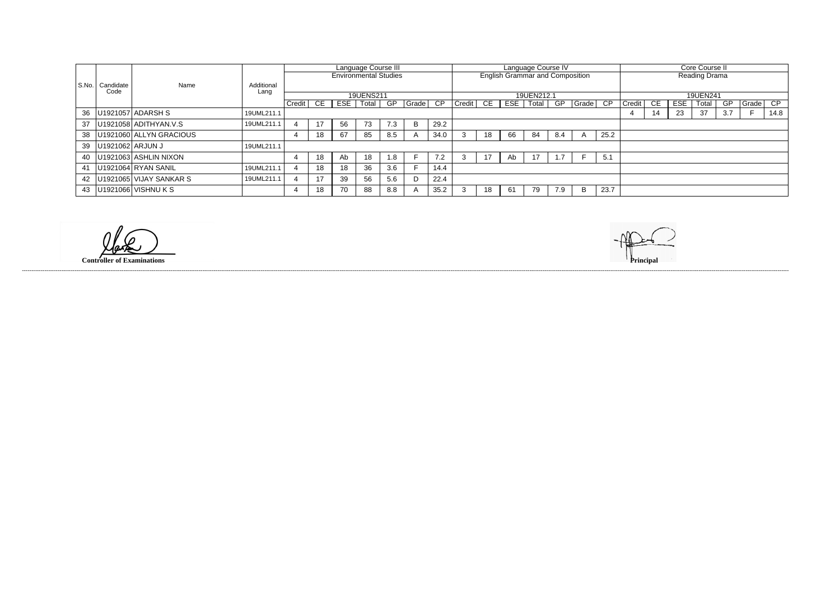|       |                  |                         |            | Language Course III<br>Language Course IV |    |                              |           |     |            |                 |                   |    |                                        |       |      |          |          |                      |     |     |       |     |       |      |  |  |
|-------|------------------|-------------------------|------------|-------------------------------------------|----|------------------------------|-----------|-----|------------|-----------------|-------------------|----|----------------------------------------|-------|------|----------|----------|----------------------|-----|-----|-------|-----|-------|------|--|--|
|       |                  |                         |            |                                           |    |                              |           |     |            |                 |                   |    |                                        |       |      |          |          | Core Course II       |     |     |       |     |       |      |  |  |
|       |                  |                         |            |                                           |    | <b>Environmental Studies</b> |           |     |            |                 |                   |    | <b>English Grammar and Composition</b> |       |      |          |          | <b>Reading Drama</b> |     |     |       |     |       |      |  |  |
|       |                  |                         |            |                                           |    |                              |           |     |            |                 |                   |    |                                        |       |      |          |          |                      |     |     |       |     |       |      |  |  |
| S.No. | Candidate        | Name                    | Additional |                                           |    |                              |           |     |            |                 |                   |    |                                        |       |      |          |          |                      |     |     |       |     |       |      |  |  |
|       | Code             |                         | Lang       |                                           |    |                              | 19UENS211 |     | 19UEN212.1 |                 |                   |    |                                        |       |      |          | 19UEN241 |                      |     |     |       |     |       |      |  |  |
|       |                  |                         |            |                                           |    |                              |           |     |            |                 |                   |    |                                        |       |      |          |          |                      |     |     |       |     |       |      |  |  |
|       |                  |                         |            | Credit                                    | CE | ESE                          | Total     | GP  | Grade      | $\overline{CP}$ | $ $ Credit $ $ CE |    | ESE                                    | Total | GP   | Grade CP |          | Credit               | CE. | ESE | Total | GP  | Grade | CP   |  |  |
| 36    |                  | U1921057 ADARSH S       | 19UML211.1 |                                           |    |                              |           |     |            |                 |                   |    |                                        |       |      |          |          |                      | 14  | 23  | 37    | 3.7 |       | 14.8 |  |  |
|       |                  |                         |            |                                           |    |                              |           |     |            |                 |                   |    |                                        |       |      |          |          |                      |     |     |       |     |       |      |  |  |
| 37    |                  | U1921058 ADITHYAN.V.S   | 19UML211.1 |                                           | 17 | 56                           | 73        | 7.3 | B.         | 29.2            |                   |    |                                        |       |      |          |          |                      |     |     |       |     |       |      |  |  |
| 38    |                  | U1921060 ALLYN GRACIOUS |            |                                           | 18 | 67                           | 85        | 8.5 |            | 34.0            |                   | 18 | 66                                     | 84    | -8.4 |          | 25.2     |                      |     |     |       |     |       |      |  |  |
|       | U1921062 ARJUN J |                         | 19UML211.1 |                                           |    |                              |           |     |            |                 |                   |    |                                        |       |      |          |          |                      |     |     |       |     |       |      |  |  |
| 39    |                  |                         |            |                                           |    |                              |           |     |            |                 |                   |    |                                        |       |      |          |          |                      |     |     |       |     |       |      |  |  |
| 40    |                  | U1921063 ASHLIN NIXON   |            |                                           | 18 | Ab                           | 18        | 1.8 |            | 7.2             |                   | 17 | Ab                                     | 17    |      |          | 5.1      |                      |     |     |       |     |       |      |  |  |
|       |                  |                         |            |                                           |    |                              |           |     |            |                 |                   |    |                                        |       |      |          |          |                      |     |     |       |     |       |      |  |  |
| 41    |                  | U1921064 RYAN SANIL     | 19UML211.1 |                                           | 18 | 18                           | 36        | 3.6 |            | 14.4            |                   |    |                                        |       |      |          |          |                      |     |     |       |     |       |      |  |  |
| 42    |                  | U1921065 VIJAY SANKAR S | 19UML211.1 |                                           | 17 | 39                           | 56        | 5.6 |            | 22.4            |                   |    |                                        |       |      |          |          |                      |     |     |       |     |       |      |  |  |
| 43    |                  | U1921066 VISHNU K S     |            |                                           | 18 | 70                           | 88        | 8.8 |            | 35.2            |                   | 18 | 61                                     | 79    | 7.9  | B        | 23.7     |                      |     |     |       |     |       |      |  |  |

**Controller of Examinations**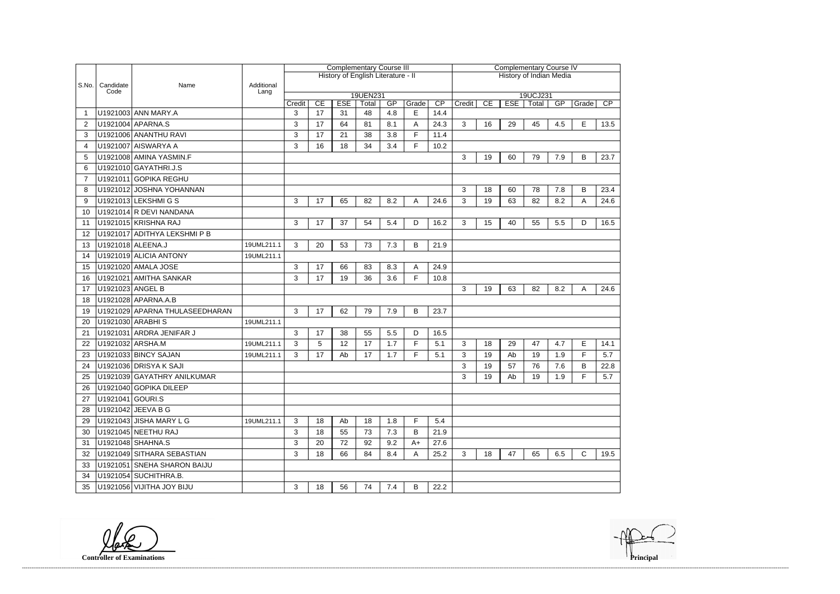|                |                   |                                |                    | <b>Complementary Course III</b> |    |            |                                    |     |       |                 |                         | <b>Complementary Course IV</b> |            |                   |     |              |      |  |  |
|----------------|-------------------|--------------------------------|--------------------|---------------------------------|----|------------|------------------------------------|-----|-------|-----------------|-------------------------|--------------------------------|------------|-------------------|-----|--------------|------|--|--|
|                |                   |                                |                    |                                 |    |            | History of English Literature - II |     |       |                 | History of Indian Media |                                |            |                   |     |              |      |  |  |
| S.No.          | Candidate<br>Code | Name                           | Additional<br>Lang |                                 |    |            |                                    |     |       |                 |                         |                                |            |                   |     |              |      |  |  |
|                |                   |                                |                    | Credit                          | CE | <b>ESE</b> | 19UEN231<br>Total                  | GP  | Grade | $\overline{CP}$ | Credit                  | CE                             | <b>ESE</b> | 19UCJ231<br>Total | GP  | Grade        | CP   |  |  |
|                |                   | U1921003 ANN MARY.A            |                    | 3                               | 17 | 31         | 48                                 | 4.8 | E     | 14.4            |                         |                                |            |                   |     |              |      |  |  |
| 2              |                   | U1921004 APARNA.S              |                    | 3                               | 17 | 64         | 81                                 | 8.1 | A     | 24.3            | 3                       | 16                             | 29         | 45                | 4.5 | E            | 13.5 |  |  |
| 3              |                   | U1921006 ANANTHU RAVI          |                    | 3                               | 17 | 21         | 38                                 | 3.8 | F     | 11.4            |                         |                                |            |                   |     |              |      |  |  |
| 4              |                   | U1921007 AISWARYA A            |                    | 3                               | 16 | 18         | 34                                 | 3.4 | F.    | 10.2            |                         |                                |            |                   |     |              |      |  |  |
| 5              |                   | U1921008 AMINA YASMIN.F        |                    |                                 |    |            |                                    |     |       |                 | 3                       | 19                             | 60         | 79                | 7.9 | В            | 23.7 |  |  |
| 6              |                   | U1921010 GAYATHRI.J.S          |                    |                                 |    |            |                                    |     |       |                 |                         |                                |            |                   |     |              |      |  |  |
| $\overline{7}$ |                   | U1921011 GOPIKA REGHU          |                    |                                 |    |            |                                    |     |       |                 |                         |                                |            |                   |     |              |      |  |  |
| 8              |                   | U1921012 JOSHNA YOHANNAN       |                    |                                 |    |            |                                    |     |       |                 | 3                       | 18                             | 60         | 78                | 7.8 | B            | 23.4 |  |  |
| 9              |                   | U1921013 LEKSHMI G S           |                    | 3                               | 17 | 65         | 82                                 | 8.2 | A     | 24.6            | 3                       | 19                             | 63         | 82                | 8.2 | Α            | 24.6 |  |  |
| 10             |                   | U1921014 R DEVI NANDANA        |                    |                                 |    |            |                                    |     |       |                 |                         |                                |            |                   |     |              |      |  |  |
| 11             |                   | U1921015 KRISHNA RAJ           |                    | 3                               | 17 | 37         | 54                                 | 5.4 | D     | 16.2            | 3                       | 15                             | 40         | 55                | 5.5 | D            | 16.5 |  |  |
| 12             |                   | U1921017 ADITHYA LEKSHMI P B   |                    |                                 |    |            |                                    |     |       |                 |                         |                                |            |                   |     |              |      |  |  |
| 13             |                   | U1921018 ALEENA.J              | 19UML211.1         | 3                               | 20 | 53         | 73                                 | 7.3 | B     | 21.9            |                         |                                |            |                   |     |              |      |  |  |
| 14             |                   | U1921019 ALICIA ANTONY         | 19UML211.1         |                                 |    |            |                                    |     |       |                 |                         |                                |            |                   |     |              |      |  |  |
| 15             |                   | U1921020 AMALA JOSE            |                    | 3                               | 17 | 66         | 83                                 | 8.3 | A     | 24.9            |                         |                                |            |                   |     |              |      |  |  |
| 16             |                   | U1921021 AMITHA SANKAR         |                    | 3                               | 17 | 19         | 36                                 | 3.6 | F.    | 10.8            |                         |                                |            |                   |     |              |      |  |  |
| 17             | U1921023 ANGEL B  |                                |                    |                                 |    |            |                                    |     |       |                 | 3                       | 19                             | 63         | 82                | 8.2 | A            | 24.6 |  |  |
| 18             |                   | U1921028 APARNA.A.B            |                    |                                 |    |            |                                    |     |       |                 |                         |                                |            |                   |     |              |      |  |  |
| 19             |                   | U1921029 APARNA THULASEEDHARAN |                    | 3                               | 17 | 62         | 79                                 | 7.9 | B     | 23.7            |                         |                                |            |                   |     |              |      |  |  |
| 20             |                   | U1921030 ARABHIS               | 19UML211.1         |                                 |    |            |                                    |     |       |                 |                         |                                |            |                   |     |              |      |  |  |
| 21             |                   | U1921031 ARDRA JENIFAR J       |                    | 3                               | 17 | 38         | 55                                 | 5.5 | D     | 16.5            |                         |                                |            |                   |     |              |      |  |  |
| 22             |                   | U1921032 ARSHA.M               | 19UML211.1         | 3                               | 5  | 12         | 17                                 | 1.7 | F.    | 5.1             | 3                       | 18                             | 29         | 47                | 4.7 | E            | 14.1 |  |  |
| 23             |                   | U1921033 BINCY SAJAN           | 19UML211.1         | 3                               | 17 | Ab         | 17                                 | 1.7 | F     | 5.1             | 3                       | 19                             | Ab         | 19                | 1.9 | F            | 5.7  |  |  |
| 24             |                   | U1921036 DRISYA K SAJI         |                    |                                 |    |            |                                    |     |       |                 | 3                       | 19                             | 57         | 76                | 7.6 | B            | 22.8 |  |  |
| 25             |                   | U1921039 GAYATHRY ANILKUMAR    |                    |                                 |    |            |                                    |     |       |                 | 3                       | 19                             | Ab         | 19                | 1.9 | F            | 5.7  |  |  |
| 26             |                   | U1921040 GOPIKA DILEEP         |                    |                                 |    |            |                                    |     |       |                 |                         |                                |            |                   |     |              |      |  |  |
| 27             | U1921041 GOURI.S  |                                |                    |                                 |    |            |                                    |     |       |                 |                         |                                |            |                   |     |              |      |  |  |
| 28             |                   | U1921042 JEEVA B G             |                    |                                 |    |            |                                    |     |       |                 |                         |                                |            |                   |     |              |      |  |  |
| 29             |                   | U1921043 JISHA MARY L G        | 19UML211.1         | 3                               | 18 | Ab         | 18                                 | 1.8 | F.    | 5.4             |                         |                                |            |                   |     |              |      |  |  |
| 30             |                   | U1921045 NEETHU RAJ            |                    | 3                               | 18 | 55         | 73                                 | 7.3 | B     | 21.9            |                         |                                |            |                   |     |              |      |  |  |
| 31             |                   | U1921048 SHAHNA.S              |                    | $\mathbf{3}$                    | 20 | 72         | 92                                 | 9.2 | $A+$  | 27.6            |                         |                                |            |                   |     |              |      |  |  |
| 32             |                   | U1921049 SITHARA SEBASTIAN     |                    | 3                               | 18 | 66         | 84                                 | 8.4 | A     | 25.2            | 3                       | 18                             | 47         | 65                | 6.5 | $\mathsf{C}$ | 19.5 |  |  |
| 33             |                   | U1921051 SNEHA SHARON BAIJU    |                    |                                 |    |            |                                    |     |       |                 |                         |                                |            |                   |     |              |      |  |  |
| 34             |                   | U1921054 SUCHITHRA.B.          |                    |                                 |    |            |                                    |     |       |                 |                         |                                |            |                   |     |              |      |  |  |
| 35             |                   | U1921056 VIJITHA JOY BIJU      |                    | 3                               | 18 | 56         | 74                                 | 7.4 | B     | 22.2            |                         |                                |            |                   |     |              |      |  |  |

**Controller of Examinations** 

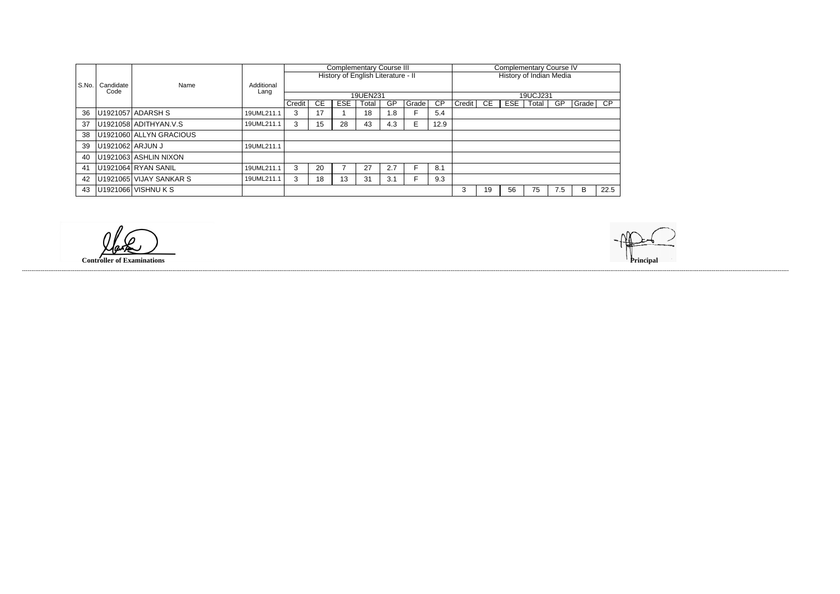|                |                  |                                     |            |        |           |            | <b>Complementary Course III</b>    |     |       |           |                         |    | <b>Complementary Course IV</b> |       |           |       |      |  |
|----------------|------------------|-------------------------------------|------------|--------|-----------|------------|------------------------------------|-----|-------|-----------|-------------------------|----|--------------------------------|-------|-----------|-------|------|--|
|                |                  |                                     |            |        |           |            | History of English Literature - II |     |       |           | History of Indian Media |    |                                |       |           |       |      |  |
| S.No.          | Candidate        | Name                                | Additional |        |           |            |                                    |     |       |           |                         |    |                                |       |           |       |      |  |
|                | Code             |                                     | Lang       |        |           |            | 19UEN231                           |     |       |           | 19UCJ231                |    |                                |       |           |       |      |  |
|                |                  |                                     |            | Credit | <b>CE</b> | <b>ESE</b> | Total                              | GP  | Grade | <b>CP</b> | Credit                  | CE | ESE                            | Total | <b>GP</b> | Grade | CP.  |  |
| 36             |                  | U1921057 ADARSH S                   | 19UML211.1 | 3      | 17        |            | 18                                 | 1.8 |       | 5.4       |                         |    |                                |       |           |       |      |  |
| 37             |                  | U1921058 ADITHYAN.V.S               | 19UML211.1 | 3      | 15        | 28         | 43                                 | 4.3 |       | 12.9      |                         |    |                                |       |           |       |      |  |
| 38             |                  | U <sub>1921060</sub> ALLYN GRACIOUS |            |        |           |            |                                    |     |       |           |                         |    |                                |       |           |       |      |  |
| 39             | U1921062 ARJUN J |                                     | 19UML211.1 |        |           |            |                                    |     |       |           |                         |    |                                |       |           |       |      |  |
| 40             |                  | U1921063 ASHLIN NIXON               |            |        |           |            |                                    |     |       |           |                         |    |                                |       |           |       |      |  |
| 4 <sup>′</sup> |                  | U1921064 RYAN SANIL                 | 19UML211.1 | 3      | 20        |            | 27                                 | 2.7 |       | 8.1       |                         |    |                                |       |           |       |      |  |
| 42             |                  | U1921065 VIJAY SANKAR S             | 19UML211.1 | 3      | 18        | 13         | 31                                 | 3.1 |       | 9.3       |                         |    |                                |       |           |       |      |  |
| 43             |                  | U1921066 VISHNU K S                 |            |        |           |            |                                    |     |       |           | 3                       | 19 | 56                             | 75    | 7.5       | B     | 22.5 |  |

**Controller of Examinations Principal**

------------------------------------------------------------------------------------------------------------------------------------------------------------------------------------------------------------------------------------------------------------------------------------------------------------------------------------------------------------------------------------------------------------------------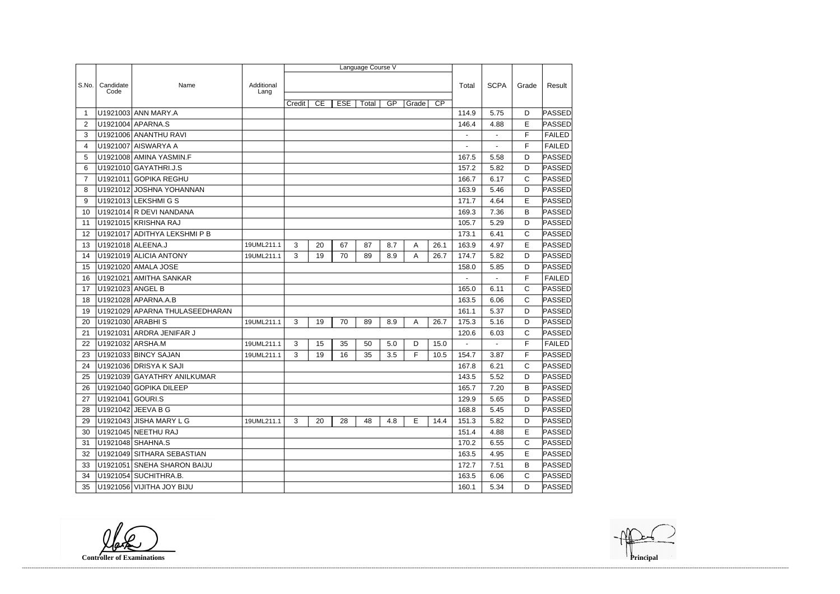|                |                   |                                |                    |        |    |            | Language Course V |     |       |                 |                |                |              |               |
|----------------|-------------------|--------------------------------|--------------------|--------|----|------------|-------------------|-----|-------|-----------------|----------------|----------------|--------------|---------------|
|                |                   |                                |                    |        |    |            |                   |     |       |                 |                |                |              |               |
| S.No.          | Candidate<br>Code | Name                           | Additional<br>Lang |        |    |            |                   |     |       |                 | Total          | <b>SCPA</b>    | Grade        | Result        |
|                |                   |                                |                    | Credit | CE | <b>ESE</b> | Total             | GP  | Grade | $\overline{CP}$ |                |                |              |               |
|                |                   | U1921003 ANN MARY.A            |                    |        |    |            |                   |     |       |                 | 114.9          | 5.75           | D            | PASSED        |
| $\overline{2}$ |                   | U1921004 APARNA.S              |                    |        |    |            |                   |     |       |                 | 146.4          | 4.88           | E            | PASSED        |
| 3              |                   | U1921006 ANANTHU RAVI          |                    |        |    |            |                   |     |       |                 |                |                | F            | <b>FAILED</b> |
| 4              |                   | U1921007 AISWARYA A            |                    |        |    |            |                   |     |       |                 |                |                | F            | <b>FAILED</b> |
| 5              |                   | U1921008 AMINA YASMIN.F        |                    |        |    |            |                   |     |       |                 | 167.5          | 5.58           | D            | PASSED        |
| 6              |                   | U1921010 GAYATHRI.J.S          |                    |        |    |            |                   |     |       |                 | 157.2          | 5.82           | D            | PASSED        |
| $\overline{7}$ |                   | U1921011 GOPIKA REGHU          |                    |        |    |            |                   |     |       |                 | 166.7          | 6.17           | C            | PASSED        |
| 8              |                   | U1921012 JOSHNA YOHANNAN       |                    |        |    |            |                   |     |       |                 | 163.9          | 5.46           | D            | PASSED        |
| 9              |                   | U1921013 LEKSHMI G S           |                    |        |    |            |                   |     |       |                 | 171.7          | 4.64           | E            | PASSED        |
| 10             |                   | U1921014 R DEVI NANDANA        |                    |        |    |            |                   |     |       |                 | 169.3          | 7.36           | B            | PASSED        |
| 11             |                   | U1921015 KRISHNA RAJ           |                    |        |    |            |                   |     |       |                 | 105.7          | 5.29           | D            | PASSED        |
| 12             |                   | U1921017 ADITHYA LEKSHMI P B   |                    |        |    |            |                   |     |       |                 | 173.1          | 6.41           | C            | PASSED        |
| 13             |                   | U1921018 ALEENA.J              | 19UML211.1         | 3      | 20 | 67         | 87                | 8.7 | A     | 26.1            | 163.9          | 4.97           | E            | PASSED        |
| 14             |                   | U1921019 ALICIA ANTONY         | 19UML211.1         | 3      | 19 | 70         | 89                | 8.9 | Α     | 26.7            | 174.7          | 5.82           | D            | PASSED        |
| 15             |                   | U1921020 AMALA JOSE            |                    |        |    |            |                   |     |       |                 | 158.0          | 5.85           | D            | PASSED        |
| 16             |                   | U1921021 AMITHA SANKAR         |                    |        |    |            |                   |     |       |                 |                |                | F            | <b>FAILED</b> |
| 17             | U1921023 ANGEL B  |                                |                    |        |    |            |                   |     |       |                 | 165.0          | 6.11           | C            | PASSED        |
| 18             |                   | U1921028 APARNA.A.B            |                    |        |    |            |                   |     |       |                 | 163.5          | 6.06           | C            | PASSED        |
| 19             |                   | U1921029 APARNA THULASEEDHARAN |                    |        |    |            |                   |     |       |                 | 161.1          | 5.37           | D            | PASSED        |
| 20             |                   | U1921030 ARABHIS               | 19UML211.1         | 3      | 19 | 70         | 89                | 8.9 | A     | 26.7            | 175.3          | 5.16           | D            | PASSED        |
| 21             |                   | U1921031 ARDRA JENIFAR J       |                    |        |    |            |                   |     |       |                 | 120.6          | 6.03           | C            | PASSED        |
| 22             | U1921032 ARSHA.M  |                                | 19UML211.1         | 3      | 15 | 35         | 50                | 5.0 | D     | 15.0            | $\blacksquare$ | $\blacksquare$ | F            | <b>FAILED</b> |
| 23             |                   | U1921033 BINCY SAJAN           | 19UML211.1         | 3      | 19 | 16         | 35                | 3.5 | F     | 10.5            | 154.7          | 3.87           | F            | PASSED        |
| 24             |                   | U1921036 DRISYA K SAJI         |                    |        |    |            |                   |     |       |                 | 167.8          | 6.21           | C            | PASSED        |
| 25             |                   | U1921039 GAYATHRY ANILKUMAR    |                    |        |    |            |                   |     |       |                 | 143.5          | 5.52           | D            | PASSED        |
| 26             |                   | U1921040 GOPIKA DILEEP         |                    |        |    |            |                   |     |       |                 | 165.7          | 7.20           | B            | PASSED        |
| 27             | U1921041 GOURI.S  |                                |                    |        |    |            |                   |     |       |                 | 129.9          | 5.65           | D.           | PASSED        |
| 28             |                   | U1921042 JEEVA B G             |                    |        |    |            |                   |     |       |                 | 168.8          | 5.45           | D            | <b>PASSED</b> |
| 29             |                   | U1921043 JISHA MARY L G        | 19UML211.1         | 3      | 20 | 28         | 48                | 4.8 | E     | 14.4            | 151.3          | 5.82           | D            | PASSED        |
| 30             |                   | U1921045 NEETHU RAJ            |                    |        |    |            |                   |     |       |                 | 151.4          | 4.88           | Е            | PASSED        |
| 31             |                   | U1921048 SHAHNA.S              |                    |        |    |            |                   |     |       |                 | 170.2          | 6.55           | $\mathsf{C}$ | PASSED        |
| 32             |                   | U1921049 SITHARA SEBASTIAN     |                    |        |    |            |                   |     |       |                 | 163.5          | 4.95           | Е            | PASSED        |
| 33             |                   | U1921051 SNEHA SHARON BAIJU    |                    |        |    |            |                   |     |       |                 | 172.7          | 7.51           | В            | PASSED        |
| 34             |                   | U1921054 SUCHITHRA.B.          |                    |        |    |            |                   |     |       |                 | 163.5          | 6.06           | $\mathsf{C}$ | PASSED        |
| 35             |                   | U1921056 VIJITHA JOY BIJU      |                    |        |    |            |                   |     |       |                 | 160.1          | 5.34           | D            | PASSED        |

**Controller of Examinations**